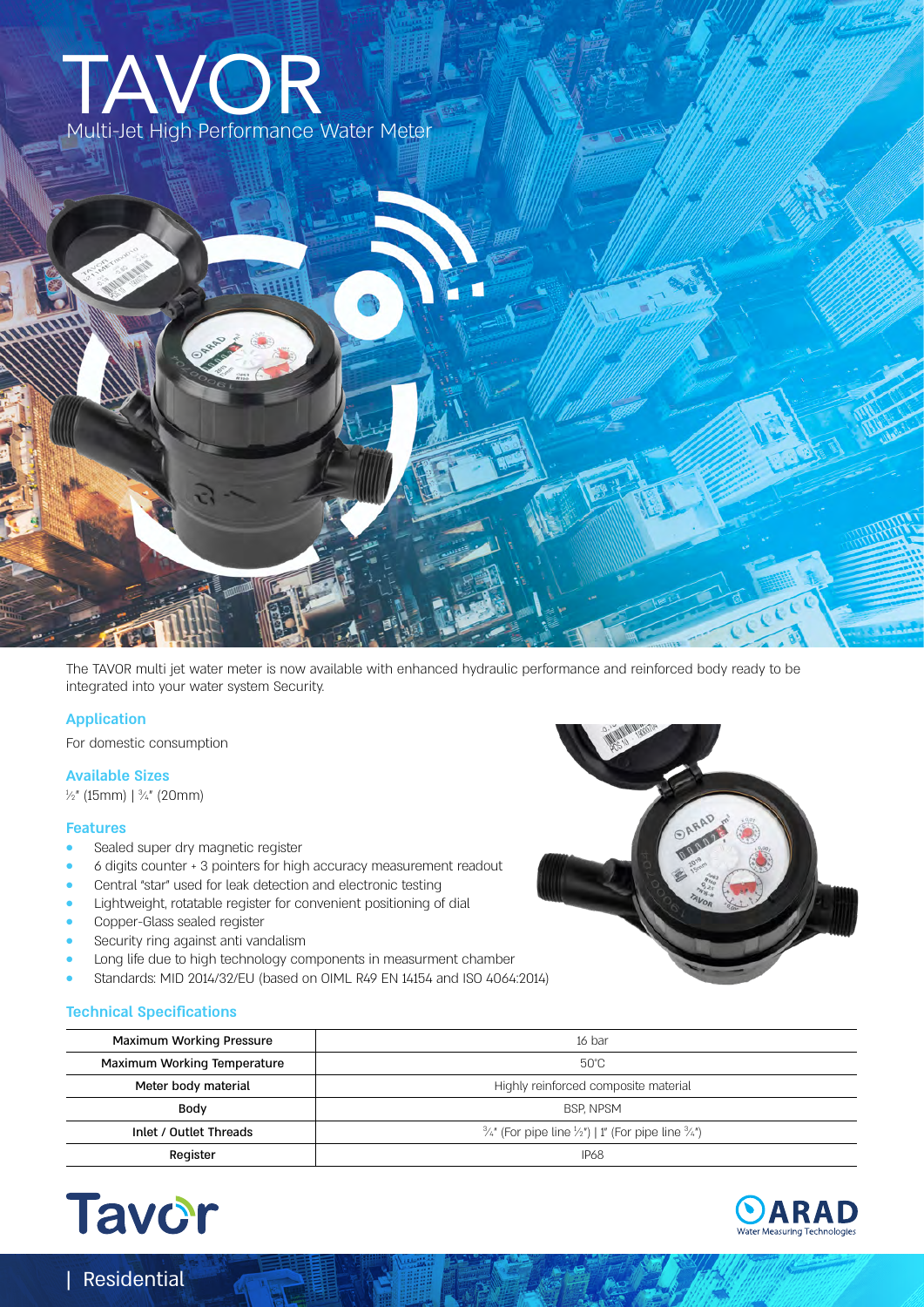# Multi-Jet High Performance Water Meter TAVOR

The TAVOR multi jet water meter is now available with enhanced hydraulic performance and reinforced body ready to be integrated into your water system Security.

#### **Application**

For domestic consumption

## **Available Sizes**

 $\frac{1}{2}$ " (15mm) |  $\frac{3}{4}$ " (20mm)

#### **Features**

- **•** Sealed super dry magnetic register
- **•** 6 digits counter + 3 pointers for high accuracy measurement readout
- **•** Central "star" used for leak detection and electronic testing
- **•** Lightweight, rotatable register for convenient positioning of dial
- **•** Copper-Glass sealed register
- **•** Security ring against anti vandalism
- **•** Long life due to high technology components in measurment chamber
- **•** Standards: MID 2014/32/EU (based on OIML R49 EN 14154 and ISO 4064:2014)

| Maximum Working Pressure    | 16 bar                                                                               |  |  |  |
|-----------------------------|--------------------------------------------------------------------------------------|--|--|--|
| Maximum Working Temperature | 50°C                                                                                 |  |  |  |
| Meter body material         | Highly reinforced composite material                                                 |  |  |  |
| Body                        | <b>BSP. NPSM</b>                                                                     |  |  |  |
| Inlet / Outlet Threads      | $\frac{3}{4}$ " (For pipe line $\frac{1}{2}$ ")   1" (For pipe line $\frac{3}{4}$ ") |  |  |  |
| Register                    | <b>IP68</b>                                                                          |  |  |  |



| Residential